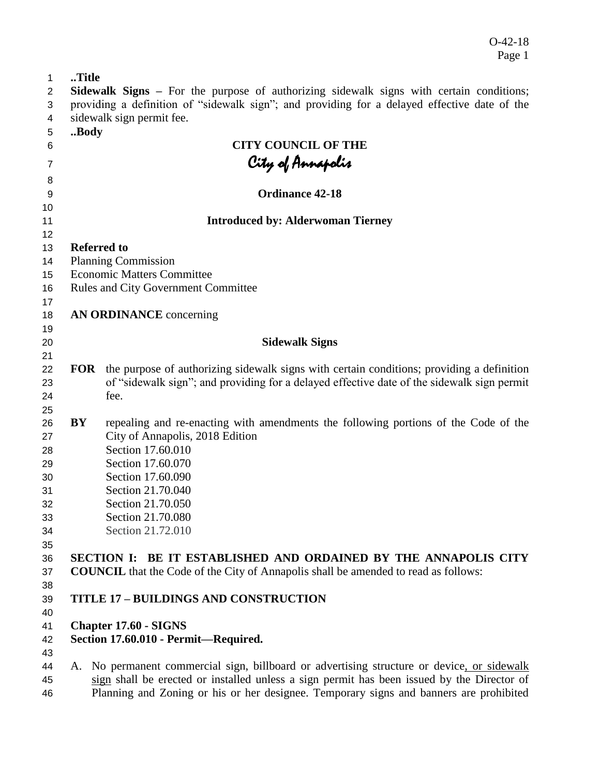O-42-18 Page 1

| 1              | Title                                                                                        |                                                                                                      |  |  |  |  |  |  |
|----------------|----------------------------------------------------------------------------------------------|------------------------------------------------------------------------------------------------------|--|--|--|--|--|--|
| $\overline{2}$ |                                                                                              | <b>Sidewalk Signs</b> – For the purpose of authorizing sidewalk signs with certain conditions;       |  |  |  |  |  |  |
| 3              | providing a definition of "sidewalk sign"; and providing for a delayed effective date of the |                                                                                                      |  |  |  |  |  |  |
| 4              |                                                                                              | sidewalk sign permit fee.                                                                            |  |  |  |  |  |  |
| 5              | Body                                                                                         |                                                                                                      |  |  |  |  |  |  |
| 6              |                                                                                              | <b>CITY COUNCIL OF THE</b>                                                                           |  |  |  |  |  |  |
| $\overline{7}$ |                                                                                              |                                                                                                      |  |  |  |  |  |  |
| 8              |                                                                                              | City of Annapolis                                                                                    |  |  |  |  |  |  |
| 9              |                                                                                              | <b>Ordinance 42-18</b>                                                                               |  |  |  |  |  |  |
| 10             |                                                                                              |                                                                                                      |  |  |  |  |  |  |
| 11             |                                                                                              | <b>Introduced by: Alderwoman Tierney</b>                                                             |  |  |  |  |  |  |
| 12             |                                                                                              |                                                                                                      |  |  |  |  |  |  |
| 13             |                                                                                              | <b>Referred to</b>                                                                                   |  |  |  |  |  |  |
| 14             |                                                                                              | <b>Planning Commission</b>                                                                           |  |  |  |  |  |  |
| 15             |                                                                                              | <b>Economic Matters Committee</b>                                                                    |  |  |  |  |  |  |
| 16             |                                                                                              | <b>Rules and City Government Committee</b>                                                           |  |  |  |  |  |  |
| 17             |                                                                                              |                                                                                                      |  |  |  |  |  |  |
| 18             |                                                                                              | <b>AN ORDINANCE</b> concerning                                                                       |  |  |  |  |  |  |
| 19             |                                                                                              |                                                                                                      |  |  |  |  |  |  |
| 20             |                                                                                              | <b>Sidewalk Signs</b>                                                                                |  |  |  |  |  |  |
| 21             |                                                                                              |                                                                                                      |  |  |  |  |  |  |
| 22             |                                                                                              | <b>FOR</b> the purpose of authorizing sidewalk signs with certain conditions; providing a definition |  |  |  |  |  |  |
| 23             |                                                                                              | of "sidewalk sign"; and providing for a delayed effective date of the sidewalk sign permit           |  |  |  |  |  |  |
| 24             |                                                                                              | fee.                                                                                                 |  |  |  |  |  |  |
| 25             |                                                                                              |                                                                                                      |  |  |  |  |  |  |
| 26             | BY                                                                                           | repealing and re-enacting with amendments the following portions of the Code of the                  |  |  |  |  |  |  |
| 27             |                                                                                              | City of Annapolis, 2018 Edition                                                                      |  |  |  |  |  |  |
| 28             |                                                                                              | Section 17.60.010                                                                                    |  |  |  |  |  |  |
| 29             |                                                                                              | Section 17.60.070                                                                                    |  |  |  |  |  |  |
| 30             |                                                                                              | Section 17.60.090                                                                                    |  |  |  |  |  |  |
| 31             |                                                                                              | Section 21.70.040                                                                                    |  |  |  |  |  |  |
| 32             |                                                                                              | Section 21.70.050                                                                                    |  |  |  |  |  |  |
| 33             |                                                                                              | Section 21.70.080                                                                                    |  |  |  |  |  |  |
| 34             |                                                                                              | Section 21.72.010                                                                                    |  |  |  |  |  |  |
| 35             |                                                                                              |                                                                                                      |  |  |  |  |  |  |
| 36             |                                                                                              | BE IT ESTABLISHED AND ORDAINED BY THE ANNAPOLIS CITY<br><b>SECTION I:</b>                            |  |  |  |  |  |  |
| 37             |                                                                                              | <b>COUNCIL</b> that the Code of the City of Annapolis shall be amended to read as follows:           |  |  |  |  |  |  |
| 38             |                                                                                              |                                                                                                      |  |  |  |  |  |  |
| 39             |                                                                                              | <b>TITLE 17 - BUILDINGS AND CONSTRUCTION</b>                                                         |  |  |  |  |  |  |
| 40             |                                                                                              |                                                                                                      |  |  |  |  |  |  |
| 41             |                                                                                              | <b>Chapter 17.60 - SIGNS</b>                                                                         |  |  |  |  |  |  |
| 42             |                                                                                              | Section 17.60.010 - Permit-Required.                                                                 |  |  |  |  |  |  |
| 43             |                                                                                              |                                                                                                      |  |  |  |  |  |  |
| 44             |                                                                                              | A. No permanent commercial sign, billboard or advertising structure or device, or sidewalk           |  |  |  |  |  |  |
| 45             |                                                                                              | sign shall be erected or installed unless a sign permit has been issued by the Director of           |  |  |  |  |  |  |

Planning and Zoning or his or her designee. Temporary signs and banners are prohibited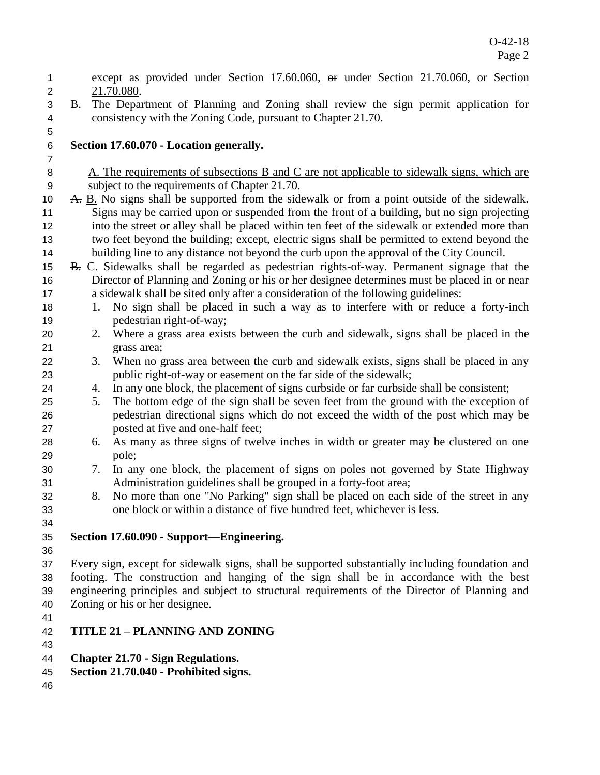| 1              |    | except as provided under Section 17.60.060, or under Section 21.70.060, or Section                                                                               |
|----------------|----|------------------------------------------------------------------------------------------------------------------------------------------------------------------|
| $\overline{2}$ |    | 21.70.080.                                                                                                                                                       |
| 3              | B. | The Department of Planning and Zoning shall review the sign permit application for                                                                               |
| 4              |    | consistency with the Zoning Code, pursuant to Chapter 21.70.                                                                                                     |
| 5              |    |                                                                                                                                                                  |
| $\,6$          |    | Section 17.60.070 - Location generally.                                                                                                                          |
| $\overline{7}$ |    |                                                                                                                                                                  |
| 8              |    | A. The requirements of subsections B and C are not applicable to sidewalk signs, which are                                                                       |
| 9              |    | subject to the requirements of Chapter 21.70.                                                                                                                    |
| 10             |    | A. B. No signs shall be supported from the sidewalk or from a point outside of the sidewalk.                                                                     |
| 11             |    | Signs may be carried upon or suspended from the front of a building, but no sign projecting                                                                      |
| 12             |    | into the street or alley shall be placed within ten feet of the sidewalk or extended more than                                                                   |
| 13             |    | two feet beyond the building; except, electric signs shall be permitted to extend beyond the                                                                     |
| 14             |    | building line to any distance not beyond the curb upon the approval of the City Council.                                                                         |
| 15             |    | B. C. Sidewalks shall be regarded as pedestrian rights-of-way. Permanent signage that the                                                                        |
| 16             |    | Director of Planning and Zoning or his or her designee determines must be placed in or near                                                                      |
| 17             |    | a sidewalk shall be sited only after a consideration of the following guidelines:                                                                                |
| 18             |    | No sign shall be placed in such a way as to interfere with or reduce a forty-inch<br>1.                                                                          |
| 19             |    | pedestrian right-of-way;                                                                                                                                         |
| 20             |    | Where a grass area exists between the curb and sidewalk, signs shall be placed in the<br>2.                                                                      |
| 21             |    | grass area;                                                                                                                                                      |
| 22             |    | When no grass area between the curb and sidewalk exists, signs shall be placed in any<br>3.                                                                      |
| 23             |    | public right-of-way or easement on the far side of the sidewalk;<br>In any one block, the placement of signs curbside or far curbside shall be consistent;<br>4. |
| 24<br>25       |    | The bottom edge of the sign shall be seven feet from the ground with the exception of<br>5.                                                                      |
| 26             |    | pedestrian directional signs which do not exceed the width of the post which may be                                                                              |
| 27             |    | posted at five and one-half feet;                                                                                                                                |
| 28             |    | As many as three signs of twelve inches in width or greater may be clustered on one<br>6.                                                                        |
| 29             |    | pole;                                                                                                                                                            |
| 30             |    | In any one block, the placement of signs on poles not governed by State Highway<br>7.                                                                            |
| 31             |    | Administration guidelines shall be grouped in a forty-foot area;                                                                                                 |
| 32             |    | No more than one "No Parking" sign shall be placed on each side of the street in any<br>8.                                                                       |
| 33             |    | one block or within a distance of five hundred feet, whichever is less.                                                                                          |
| 34             |    |                                                                                                                                                                  |
| 35             |    | Section 17.60.090 - Support—Engineering.                                                                                                                         |
| 36             |    |                                                                                                                                                                  |
| 37             |    | Every sign, except for sidewalk signs, shall be supported substantially including foundation and                                                                 |
| 38             |    | footing. The construction and hanging of the sign shall be in accordance with the best                                                                           |
| 39             |    | engineering principles and subject to structural requirements of the Director of Planning and                                                                    |
| 40             |    | Zoning or his or her designee.                                                                                                                                   |
| 41             |    |                                                                                                                                                                  |
| 42             |    | <b>TITLE 21 - PLANNING AND ZONING</b>                                                                                                                            |
| 43             |    |                                                                                                                                                                  |
| 44             |    | <b>Chapter 21.70 - Sign Regulations.</b>                                                                                                                         |
| 45             |    | Section 21.70.040 - Prohibited signs.                                                                                                                            |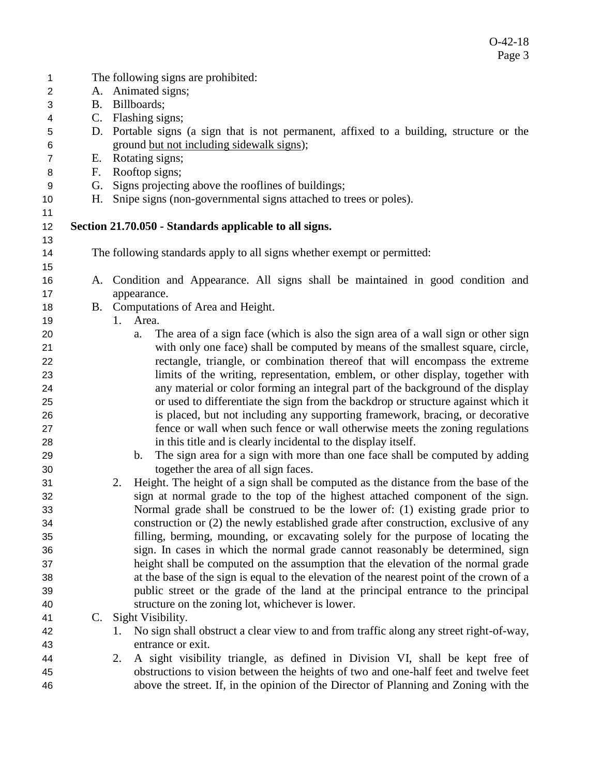| 1              |             | The following signs are prohibited:                                                            |
|----------------|-------------|------------------------------------------------------------------------------------------------|
| $\overline{2}$ |             | A. Animated signs;                                                                             |
| 3              | <b>B.</b>   | Billboards;                                                                                    |
| 4              | $C_{\cdot}$ | Flashing signs;                                                                                |
| 5              |             | D. Portable signs (a sign that is not permanent, affixed to a building, structure or the       |
| 6              |             | ground but not including sidewalk signs);                                                      |
| $\overline{7}$ | Е.          | Rotating signs;                                                                                |
| 8              | F.          | Rooftop signs;                                                                                 |
| 9              | G.          | Signs projecting above the rooflines of buildings;                                             |
| 10             | Н.          | Snipe signs (non-governmental signs attached to trees or poles).                               |
| 11             |             |                                                                                                |
| 12             |             | Section 21.70.050 - Standards applicable to all signs.                                         |
| 13             |             |                                                                                                |
| 14             |             | The following standards apply to all signs whether exempt or permitted:                        |
| 15             |             |                                                                                                |
| 16             |             | A. Condition and Appearance. All signs shall be maintained in good condition and               |
| 17             |             | appearance.                                                                                    |
| 18             |             | B. Computations of Area and Height.                                                            |
| 19             |             | Area.<br>1.                                                                                    |
| 20             |             | The area of a sign face (which is also the sign area of a wall sign or other sign<br>a.        |
| 21             |             | with only one face) shall be computed by means of the smallest square, circle,                 |
| 22             |             | rectangle, triangle, or combination thereof that will encompass the extreme                    |
| 23             |             | limits of the writing, representation, emblem, or other display, together with                 |
| 24             |             | any material or color forming an integral part of the background of the display                |
| 25             |             | or used to differentiate the sign from the backdrop or structure against which it              |
| 26             |             | is placed, but not including any supporting framework, bracing, or decorative                  |
| 27             |             | fence or wall when such fence or wall otherwise meets the zoning regulations                   |
| 28             |             | in this title and is clearly incidental to the display itself.                                 |
| 29             |             | The sign area for a sign with more than one face shall be computed by adding<br>$\mathbf{b}$ . |
| 30             |             | together the area of all sign faces.                                                           |
| 31             |             | Height. The height of a sign shall be computed as the distance from the base of the<br>2.      |
| 32             |             | sign at normal grade to the top of the highest attached component of the sign.                 |
| 33             |             | Normal grade shall be construed to be the lower of: (1) existing grade prior to                |
| 34             |             | construction or (2) the newly established grade after construction, exclusive of any           |
| 35             |             | filling, berming, mounding, or excavating solely for the purpose of locating the               |
| 36             |             | sign. In cases in which the normal grade cannot reasonably be determined, sign                 |
| 37             |             | height shall be computed on the assumption that the elevation of the normal grade              |
| 38             |             | at the base of the sign is equal to the elevation of the nearest point of the crown of a       |
| 39             |             | public street or the grade of the land at the principal entrance to the principal              |
| 40             |             | structure on the zoning lot, whichever is lower.                                               |
| 41             |             | C. Sight Visibility.                                                                           |
| 42             |             | No sign shall obstruct a clear view to and from traffic along any street right-of-way,<br>1.   |
| 43             |             | entrance or exit.                                                                              |
| 44             |             | A sight visibility triangle, as defined in Division VI, shall be kept free of<br>2.            |
| 45             |             | obstructions to vision between the heights of two and one-half feet and twelve feet            |
| 46             |             | above the street. If, in the opinion of the Director of Planning and Zoning with the           |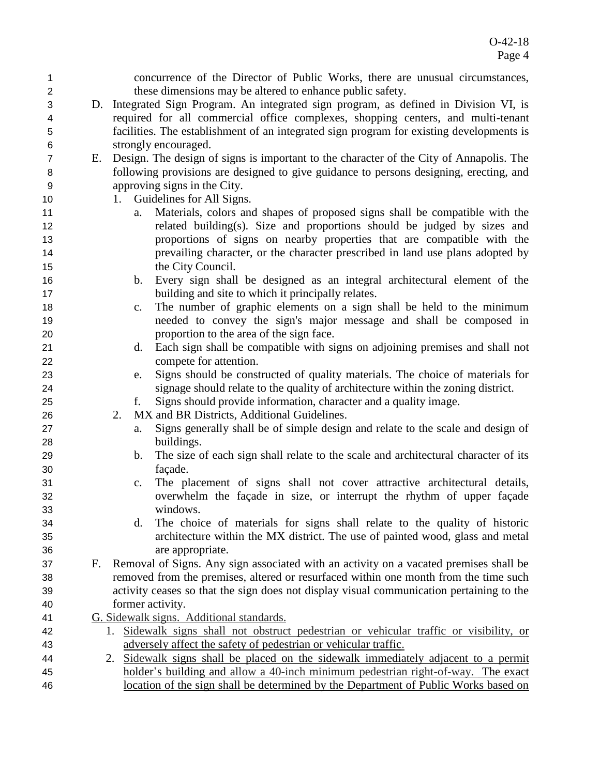| $\mathbf{1}$   |    |    | concurrence of the Director of Public Works, there are unusual circumstances,            |
|----------------|----|----|------------------------------------------------------------------------------------------|
| $\overline{2}$ |    |    | these dimensions may be altered to enhance public safety.                                |
| 3              |    |    | D. Integrated Sign Program. An integrated sign program, as defined in Division VI, is    |
| 4              |    |    | required for all commercial office complexes, shopping centers, and multi-tenant         |
| 5              |    |    | facilities. The establishment of an integrated sign program for existing developments is |
| 6              |    |    | strongly encouraged.                                                                     |
| $\overline{7}$ | Е. |    | Design. The design of signs is important to the character of the City of Annapolis. The  |
| 8              |    |    | following provisions are designed to give guidance to persons designing, erecting, and   |
| 9              |    |    | approving signs in the City.                                                             |
| 10             |    |    | 1. Guidelines for All Signs.                                                             |
| 11             |    | a. | Materials, colors and shapes of proposed signs shall be compatible with the              |
| 12             |    |    | related building(s). Size and proportions should be judged by sizes and                  |
| 13             |    |    | proportions of signs on nearby properties that are compatible with the                   |
| 14             |    |    | prevailing character, or the character prescribed in land use plans adopted by           |
| 15             |    |    | the City Council.                                                                        |
| 16             |    | b. | Every sign shall be designed as an integral architectural element of the                 |
| 17             |    |    | building and site to which it principally relates.                                       |
| 18             |    | c. | The number of graphic elements on a sign shall be held to the minimum                    |
| 19             |    |    | needed to convey the sign's major message and shall be composed in                       |
| 20             |    |    | proportion to the area of the sign face.                                                 |
| 21             |    | d. | Each sign shall be compatible with signs on adjoining premises and shall not             |
| 22             |    |    | compete for attention.                                                                   |
| 23             |    | e. | Signs should be constructed of quality materials. The choice of materials for            |
| 24             |    |    | signage should relate to the quality of architecture within the zoning district.         |
| 25             |    | f. | Signs should provide information, character and a quality image.                         |
| 26             |    | 2. | MX and BR Districts, Additional Guidelines.                                              |
| 27             |    | a. | Signs generally shall be of simple design and relate to the scale and design of          |
| 28             |    |    | buildings.                                                                               |
| 29             |    | b. | The size of each sign shall relate to the scale and architectural character of its       |
| 30             |    |    | façade.                                                                                  |
| 31             |    | c. | The placement of signs shall not cover attractive architectural details,                 |
| 32             |    |    | overwhelm the façade in size, or interrupt the rhythm of upper façade                    |
| 33             |    |    | windows.                                                                                 |
| 34             |    | d. | The choice of materials for signs shall relate to the quality of historic                |
| 35             |    |    | architecture within the MX district. The use of painted wood, glass and metal            |
| 36             |    |    | are appropriate.                                                                         |
| 37             | F. |    | Removal of Signs. Any sign associated with an activity on a vacated premises shall be    |
| 38             |    |    | removed from the premises, altered or resurfaced within one month from the time such     |
| 39             |    |    | activity ceases so that the sign does not display visual communication pertaining to the |
| 40             |    |    | former activity.                                                                         |
| 41             |    |    | G. Sidewalk signs. Additional standards.                                                 |
| 42             |    | 1. | Sidewalk signs shall not obstruct pedestrian or vehicular traffic or visibility, or      |
| 43             |    |    | adversely affect the safety of pedestrian or vehicular traffic.                          |
| 44             |    | 2. | Sidewalk signs shall be placed on the sidewalk immediately adjacent to a permit          |
| 45             |    |    | holder's building and allow a 40-inch minimum pedestrian right-of-way. The exact         |
| 46             |    |    | location of the sign shall be determined by the Department of Public Works based on      |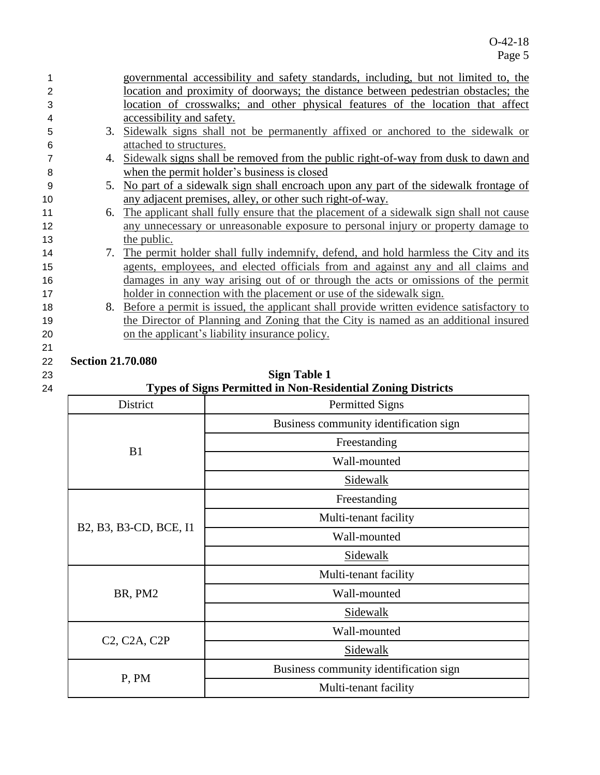|    |                          | governmental accessibility and safety standards, including, but not limited to, the     |
|----|--------------------------|-----------------------------------------------------------------------------------------|
| 2  |                          | location and proximity of doorways; the distance between pedestrian obstacles; the      |
| 3  |                          | location of crosswalks; and other physical features of the location that affect         |
| 4  |                          | accessibility and safety.                                                               |
| 5  |                          | 3. Sidewalk signs shall not be permanently affixed or anchored to the sidewalk or       |
| 6  |                          | attached to structures.                                                                 |
|    | 4.                       | Sidewalk signs shall be removed from the public right-of-way from dusk to dawn and      |
| 8  |                          | when the permit holder's business is closed                                             |
| 9  |                          | 5. No part of a sidewalk sign shall encroach upon any part of the sidewalk frontage of  |
| 10 |                          | any adjacent premises, alley, or other such right-of-way.                               |
| 11 | 6.                       | The applicant shall fully ensure that the placement of a sidewalk sign shall not cause  |
| 12 |                          | any unnecessary or unreasonable exposure to personal injury or property damage to       |
| 13 |                          | the public.                                                                             |
| 14 | 7.                       | The permit holder shall fully indemnify, defend, and hold harmless the City and its     |
| 15 |                          | agents, employees, and elected officials from and against any and all claims and        |
| 16 |                          | damages in any way arising out of or through the acts or omissions of the permit        |
| 17 |                          | holder in connection with the placement or use of the sidewalk sign.                    |
| 18 | 8.                       | Before a permit is issued, the applicant shall provide written evidence satisfactory to |
| 19 |                          | the Director of Planning and Zoning that the City is named as an additional insured     |
| 20 |                          | on the applicant's liability insurance policy.                                          |
| 21 |                          |                                                                                         |
| 22 | <b>Section 21.70.080</b> |                                                                                         |

### 23 **Sign Table 1** 24 **Types of Signs Permitted in Non-Residential Zoning Districts**

| District                                            | Types of eight I crimited in Fort residential Bonnig Districts<br><b>Permitted Signs</b> |  |  |  |  |  |
|-----------------------------------------------------|------------------------------------------------------------------------------------------|--|--|--|--|--|
|                                                     | Business community identification sign                                                   |  |  |  |  |  |
| B1                                                  | Freestanding                                                                             |  |  |  |  |  |
|                                                     | Wall-mounted                                                                             |  |  |  |  |  |
|                                                     | Sidewalk                                                                                 |  |  |  |  |  |
|                                                     | Freestanding                                                                             |  |  |  |  |  |
| B2, B3, B3-CD, BCE, I1                              | Multi-tenant facility                                                                    |  |  |  |  |  |
|                                                     | Wall-mounted                                                                             |  |  |  |  |  |
|                                                     | Sidewalk                                                                                 |  |  |  |  |  |
|                                                     | Multi-tenant facility                                                                    |  |  |  |  |  |
| BR, PM2                                             | Wall-mounted                                                                             |  |  |  |  |  |
|                                                     | Sidewalk                                                                                 |  |  |  |  |  |
| C <sub>2</sub> , C <sub>2</sub> A, C <sub>2</sub> P | Wall-mounted                                                                             |  |  |  |  |  |
|                                                     | Sidewalk                                                                                 |  |  |  |  |  |
| P, PM                                               | Business community identification sign                                                   |  |  |  |  |  |
|                                                     | Multi-tenant facility                                                                    |  |  |  |  |  |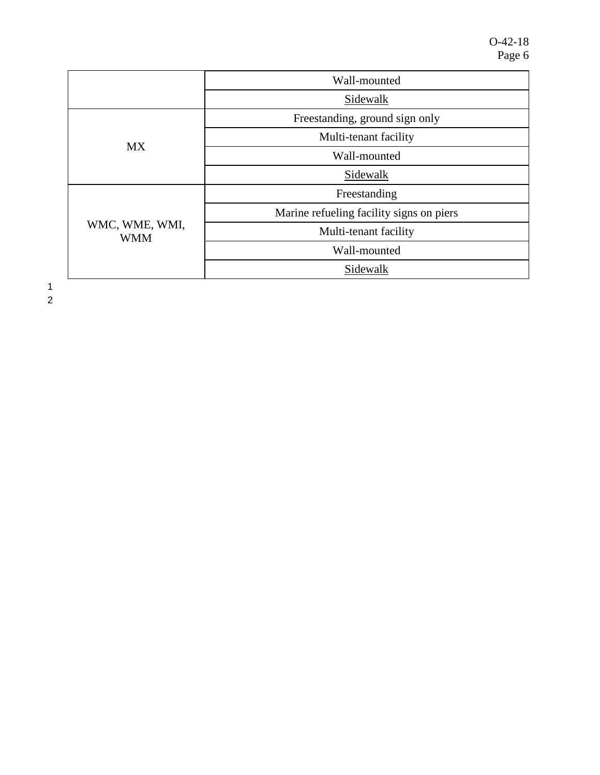|                              | Wall-mounted                             |  |  |  |  |  |
|------------------------------|------------------------------------------|--|--|--|--|--|
|                              | Sidewalk                                 |  |  |  |  |  |
|                              | Freestanding, ground sign only           |  |  |  |  |  |
| <b>MX</b>                    | Multi-tenant facility                    |  |  |  |  |  |
|                              | Wall-mounted                             |  |  |  |  |  |
|                              | Sidewalk                                 |  |  |  |  |  |
|                              | Freestanding                             |  |  |  |  |  |
|                              | Marine refueling facility signs on piers |  |  |  |  |  |
| WMC, WME, WMI,<br><b>WMM</b> | Multi-tenant facility                    |  |  |  |  |  |
|                              | Wall-mounted                             |  |  |  |  |  |
|                              | Sidewalk                                 |  |  |  |  |  |

1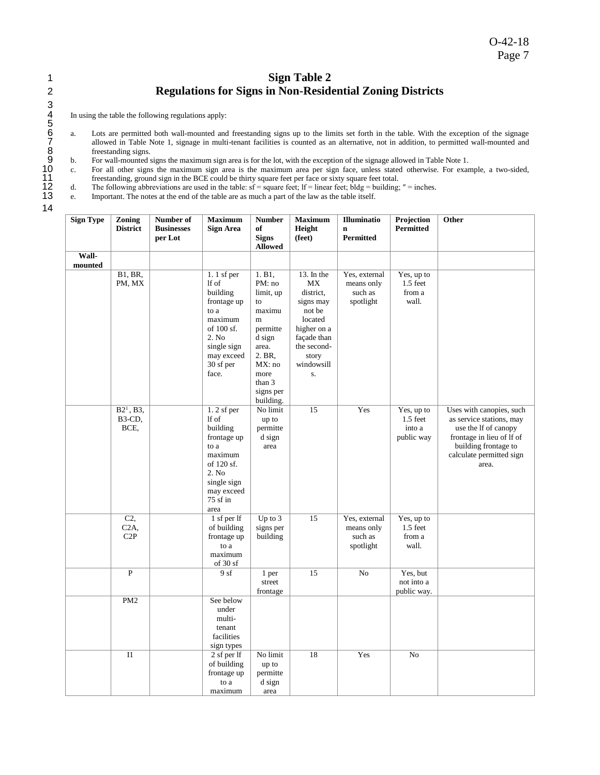## 1 **Sign Table 2** 2 **Regulations for Signs in Non-Residential Zoning Districts**

In using the table the following regulations apply:

- a. Lots are permitted both wall-mounted and freestanding signs up to the limits set forth in the table. With the exception of the signage 7 allowed in Table Note 1, signage in multi-tenant facilities is counted as an alternative, not in addition, to permitted wall-mounted and freestanding signs.<br>b. For wall-mounted s
- 9 b. For wall-mounted signs the maximum sign area is for the lot, with the exception of the signage allowed in Table Note 1.
- 10 c. For all other signs the maximum sign area is the maximum area per sign face, unless stated otherwise. For example, a two-sided, 11 freestanding, ground sign in the BCE could be thirty square feet per face or sixty square feet total.<br>
11 d. The following abbreviations are used in the table:  $sf =$  square feet;  $lf =$  linear feet; bldg = building;
- The following abbreviations are used in the table:  $sf = square$  feet; lf = linear feet; bldg = building;  $" =$  inches.

e. Important. The notes at the end of the table are as much a part of the law as the table itself.

| <b>Sign Type</b> | <b>Zoning</b><br><b>District</b>                         | Number of<br><b>Businesses</b><br>per Lot | <b>Maximum</b><br>Sign Area                                                                                                                   | <b>Number</b><br>of<br><b>Signs</b><br><b>Allowed</b>                                                                                             | <b>Maximum</b><br>Height<br>(feet)                                                                                                               | Illuminatio<br>$\mathbf n$<br><b>Permitted</b>      | Projection<br><b>Permitted</b>                   | Other                                                                                                                                                                  |
|------------------|----------------------------------------------------------|-------------------------------------------|-----------------------------------------------------------------------------------------------------------------------------------------------|---------------------------------------------------------------------------------------------------------------------------------------------------|--------------------------------------------------------------------------------------------------------------------------------------------------|-----------------------------------------------------|--------------------------------------------------|------------------------------------------------------------------------------------------------------------------------------------------------------------------------|
| Wall-            |                                                          |                                           |                                                                                                                                               |                                                                                                                                                   |                                                                                                                                                  |                                                     |                                                  |                                                                                                                                                                        |
| mounted          |                                                          |                                           |                                                                                                                                               |                                                                                                                                                   |                                                                                                                                                  |                                                     |                                                  |                                                                                                                                                                        |
|                  | <b>B1</b> , <b>BR</b> ,<br>PM, MX                        |                                           | $1.1$ sf per<br>lf of<br>building<br>frontage up<br>to a<br>maximum<br>of 100 sf.<br>2. No<br>single sign<br>may exceed<br>30 sf per<br>face. | 1. B1,<br>PM: no<br>limit, up<br>to<br>maximu<br>m<br>permitte<br>d sign<br>area.<br>2. BR,<br>MX: no<br>more<br>than 3<br>signs per<br>building. | 13. In the<br><b>MX</b><br>district,<br>signs may<br>not be<br>located<br>higher on a<br>façade than<br>the second-<br>story<br>windowsill<br>S. | Yes, external<br>means only<br>such as<br>spotlight | Yes, up to<br>$1.5$ feet<br>from a<br>wall.      |                                                                                                                                                                        |
|                  | $B2^1$ , B3,<br>B <sub>3</sub> -C <sub>D</sub> ,<br>BCE, |                                           | $1.2$ sf per<br>lf of<br>building<br>frontage up<br>to a<br>maximum<br>of 120 sf.<br>2. No<br>single sign<br>may exceed<br>75 sf in<br>area   | No limit<br>up to<br>permitte<br>d sign<br>area                                                                                                   | 15                                                                                                                                               | Yes                                                 | Yes, up to<br>$1.5$ feet<br>into a<br>public way | Uses with canopies, such<br>as service stations, may<br>use the If of canopy<br>frontage in lieu of lf of<br>building frontage to<br>calculate permitted sign<br>area. |
|                  | C <sub>2</sub><br>C <sub>2</sub> A,<br>C2P               |                                           | 1 sf per lf<br>of building<br>frontage up<br>to a<br>maximum<br>of $30sf$                                                                     | Up to $3$<br>signs per<br>building                                                                                                                | 15                                                                                                                                               | Yes, external<br>means only<br>such as<br>spotlight | Yes, up to<br>$1.5$ feet<br>from a<br>wall.      |                                                                                                                                                                        |
|                  | $\mathbf{P}$                                             |                                           | 9sf                                                                                                                                           | 1 per<br>street<br>frontage                                                                                                                       | 15                                                                                                                                               | N <sub>o</sub>                                      | Yes, but<br>not into a<br>public way.            |                                                                                                                                                                        |
|                  | PM <sub>2</sub>                                          |                                           | See below<br>under<br>multi-<br>tenant<br>facilities<br>sign types                                                                            |                                                                                                                                                   |                                                                                                                                                  |                                                     |                                                  |                                                                                                                                                                        |
|                  | I1                                                       |                                           | 2 sf per lf<br>of building<br>frontage up<br>to a<br>maximum                                                                                  | No limit<br>up to<br>permitte<br>d sign<br>area                                                                                                   | 18                                                                                                                                               | Yes                                                 | No                                               |                                                                                                                                                                        |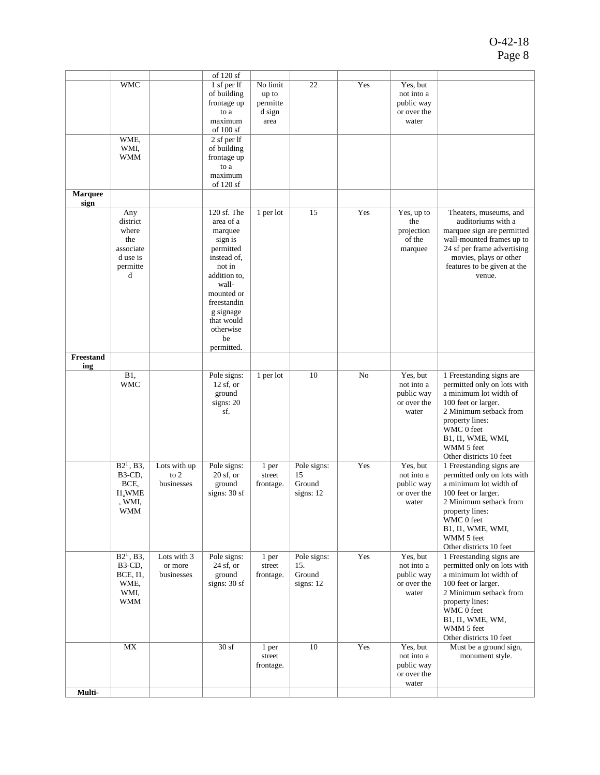|                        |                                                                                         |                                      | of 120 sf                                                                                                                                                                                              |                                                 |                                            |     |                                                              |                                                                                                                                                                                                                                   |
|------------------------|-----------------------------------------------------------------------------------------|--------------------------------------|--------------------------------------------------------------------------------------------------------------------------------------------------------------------------------------------------------|-------------------------------------------------|--------------------------------------------|-----|--------------------------------------------------------------|-----------------------------------------------------------------------------------------------------------------------------------------------------------------------------------------------------------------------------------|
|                        | <b>WMC</b>                                                                              |                                      | 1 sf per lf<br>of building<br>frontage up<br>to a<br>maximum<br>of $100sf$                                                                                                                             | No limit<br>up to<br>permitte<br>d sign<br>area | 22                                         | Yes | Yes, but<br>not into a<br>public way<br>or over the<br>water |                                                                                                                                                                                                                                   |
|                        | WME,<br>WMI,<br>WMM                                                                     |                                      | 2 sf per lf<br>of building<br>frontage up<br>to a<br>maximum<br>of 120 sf                                                                                                                              |                                                 |                                            |     |                                                              |                                                                                                                                                                                                                                   |
| <b>Marquee</b><br>sign |                                                                                         |                                      |                                                                                                                                                                                                        |                                                 |                                            |     |                                                              |                                                                                                                                                                                                                                   |
|                        | Any<br>district<br>where<br>the<br>associate<br>d use is<br>permitte<br>d               |                                      | 120 sf. The<br>area of a<br>marquee<br>sign is<br>permitted<br>instead of,<br>not in<br>addition to,<br>wall-<br>mounted or<br>freestandin<br>g signage<br>that would<br>otherwise<br>be<br>permitted. | 1 per lot                                       | 15                                         | Yes | Yes, up to<br>the<br>projection<br>of the<br>marquee         | Theaters, museums, and<br>auditoriums with a<br>marquee sign are permitted<br>wall-mounted frames up to<br>24 sf per frame advertising<br>movies, plays or other<br>features to be given at the<br>venue.                         |
| Freestand<br>ing       |                                                                                         |                                      |                                                                                                                                                                                                        |                                                 |                                            |     |                                                              |                                                                                                                                                                                                                                   |
|                        | B1,<br><b>WMC</b>                                                                       |                                      | Pole signs:<br>$12$ sf, or<br>ground<br>signs: $20$<br>sf.                                                                                                                                             | 1 per lot                                       | 10                                         | No  | Yes, but<br>not into a<br>public way<br>or over the<br>water | 1 Freestanding signs are<br>permitted only on lots with<br>a minimum lot width of<br>100 feet or larger.<br>2 Minimum setback from<br>property lines:<br>WMC 0 feet<br>B1, I1, WME, WMI,<br>WMM 5 feet<br>Other districts 10 feet |
|                        | $B21$ , B3,<br>B3-CD,<br>BCE,<br>I1, WME<br>, WMI,<br>WMM                               | Lots with up<br>to $2$<br>businesses | Pole signs:<br>$20$ sf, or<br>ground<br>signs: $30sf$                                                                                                                                                  | 1 per<br>street<br>frontage.                    | Pole signs:<br>15<br>Ground<br>signs: $12$ | Yes | Yes, but<br>not into a<br>public way<br>or over the<br>water | 1 Freestanding signs are<br>permitted only on lots with<br>a minimum lot width of<br>100 feet or larger.<br>2 Minimum setback from<br>property lines:<br>WMC 0 feet<br>B1, I1, WME, WMI,<br>WMM 5 feet<br>Other districts 10 feet |
|                        | $B21$ , B3,<br>B <sub>3</sub> -C <sub>D</sub><br><b>BCE, I1,</b><br>WME.<br>WMI,<br>WMM | Lots with 3<br>or more<br>businesses | Pole signs:<br>$24$ sf, or<br>ground<br>signs: 30 sf                                                                                                                                                   | 1 per<br>street<br>frontage.                    | Pole signs:<br>15.<br>Ground<br>signs: 12  | Yes | Yes, but<br>not into a<br>public way<br>or over the<br>water | 1 Freestanding signs are<br>permitted only on lots with<br>a minimum lot width of<br>100 feet or larger.<br>2 Minimum setback from<br>property lines:<br>WMC 0 feet<br>B1, I1, WME, WM,<br>WMM 5 feet<br>Other districts 10 feet  |
|                        | MX                                                                                      |                                      | 30sf                                                                                                                                                                                                   | 1 per<br>street<br>frontage.                    | 10                                         | Yes | Yes, but<br>not into a<br>public way<br>or over the<br>water | Must be a ground sign,<br>monument style.                                                                                                                                                                                         |
| Multi-                 |                                                                                         |                                      |                                                                                                                                                                                                        |                                                 |                                            |     |                                                              |                                                                                                                                                                                                                                   |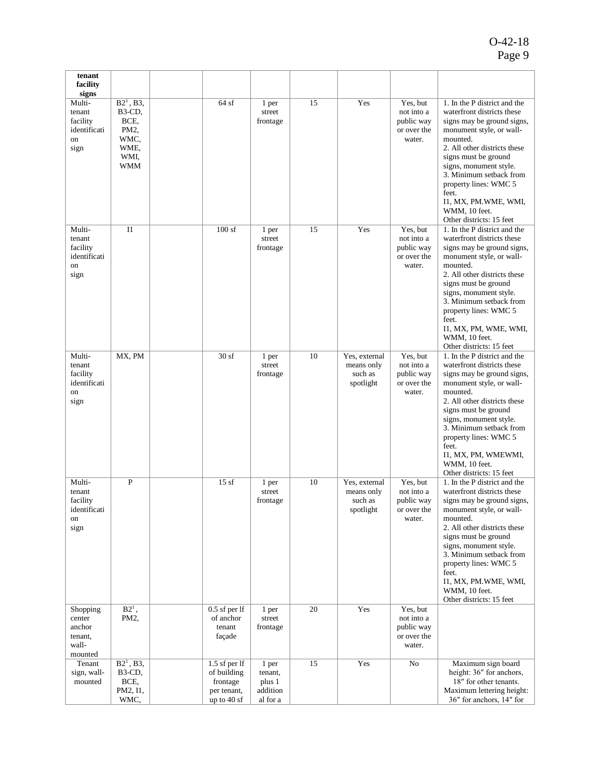| tenant<br>facility                                                  |                                                                                                       |                                                                        |                                                    |    |                                                     |                                                               |                                                                                                                                                                                                                                                                                                                                                       |
|---------------------------------------------------------------------|-------------------------------------------------------------------------------------------------------|------------------------------------------------------------------------|----------------------------------------------------|----|-----------------------------------------------------|---------------------------------------------------------------|-------------------------------------------------------------------------------------------------------------------------------------------------------------------------------------------------------------------------------------------------------------------------------------------------------------------------------------------------------|
| signs<br>Multi-<br>tenant<br>facility<br>identificati<br>on<br>sign | $B21$ , B3,<br>B <sub>3</sub> -C <sub>D</sub> ,<br>BCE,<br>PM2,<br>WMC,<br>WME,<br>WMI,<br><b>WMM</b> | 64sf                                                                   | 1 per<br>street<br>frontage                        | 15 | Yes                                                 | Yes, but<br>not into a<br>public way<br>or over the<br>water. | 1. In the P district and the<br>waterfront districts these<br>signs may be ground signs,<br>monument style, or wall-<br>mounted.<br>2. All other districts these<br>signs must be ground<br>signs, monument style.<br>3. Minimum setback from<br>property lines: WMC 5<br>feet.<br>I1, MX, PM.WME, WMI,<br>WMM, 10 feet.<br>Other districts: 15 feet  |
| Multi-<br>tenant<br>facility<br>identificati<br>on<br>sign          | I <sub>1</sub>                                                                                        | 100sf                                                                  | 1 per<br>street<br>frontage                        | 15 | Yes                                                 | Yes, but<br>not into a<br>public way<br>or over the<br>water. | 1. In the P district and the<br>waterfront districts these<br>signs may be ground signs,<br>monument style, or wall-<br>mounted.<br>2. All other districts these<br>signs must be ground<br>signs, monument style.<br>3. Minimum setback from<br>property lines: WMC 5<br>feet.<br>I1, MX, PM, WME, WMI,<br>WMM, 10 feet.<br>Other districts: 15 feet |
| Multi-<br>tenant<br>facility<br>identificati<br>on<br>sign          | MX, PM                                                                                                | $\overline{3}0$ sf                                                     | 1 per<br>street<br>frontage                        | 10 | Yes, external<br>means only<br>such as<br>spotlight | Yes, but<br>not into a<br>public way<br>or over the<br>water. | 1. In the P district and the<br>waterfront districts these<br>signs may be ground signs,<br>monument style, or wall-<br>mounted.<br>2. All other districts these<br>signs must be ground<br>signs, monument style.<br>3. Minimum setback from<br>property lines: WMC 5<br>feet.<br>I1, MX, PM, WMEWMI,<br>WMM, 10 feet.<br>Other districts: 15 feet   |
| Multi-<br>tenant<br>facility<br>identificati<br>on<br>sign          | $\mathbf P$                                                                                           | 15sf                                                                   | 1 per<br>street<br>frontage                        | 10 | Yes, external<br>means only<br>such as<br>spotlight | Yes, but<br>not into a<br>public way<br>or over the<br>water. | 1. In the P district and the<br>waterfront districts these<br>signs may be ground signs,<br>monument style, or wall-<br>mounted.<br>2. All other districts these<br>signs must be ground<br>signs, monument style.<br>3. Minimum setback from<br>property lines: WMC 5<br>feet.<br>I1, MX, PM.WME, WMI,<br>WMM, 10 feet.<br>Other districts: 15 feet  |
| Shopping<br>center<br>anchor<br>tenant,<br>wall-<br>mounted         | $B21$ ,<br>PM2,                                                                                       | $0.5$ sf per lf<br>of anchor<br>tenant<br>façade                       | 1 per<br>street<br>frontage                        | 20 | Yes                                                 | Yes, but<br>not into a<br>public way<br>or over the<br>water. |                                                                                                                                                                                                                                                                                                                                                       |
| Tenant<br>sign, wall-<br>mounted                                    | $B21$ , B3,<br>B3-CD,<br>BCE,<br>PM2, I1,<br>WMC,                                                     | 1.5 sf per lf<br>of building<br>frontage<br>per tenant,<br>up to 40 sf | 1 per<br>tenant,<br>plus 1<br>addition<br>al for a | 15 | Yes                                                 | No                                                            | Maximum sign board<br>height: 36" for anchors,<br>18" for other tenants.<br>Maximum lettering height:<br>36" for anchors, 14" for                                                                                                                                                                                                                     |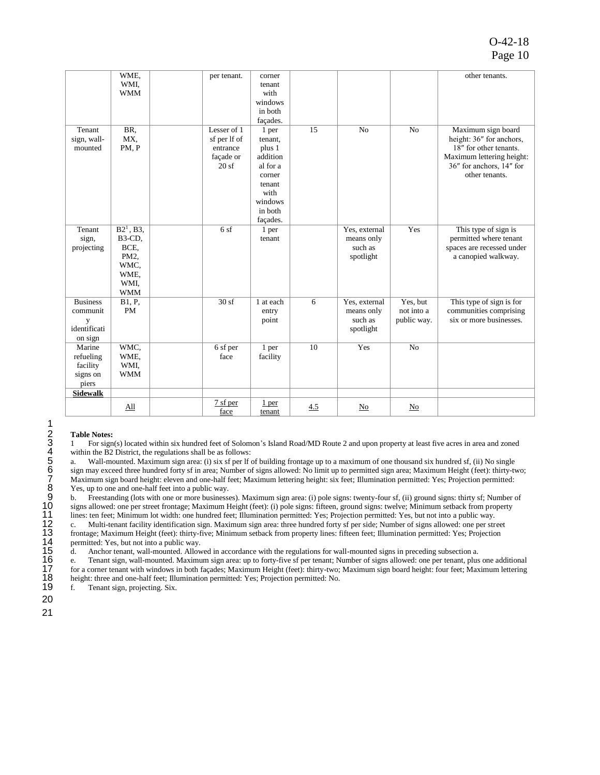### O-42-18 Page 10

|                                                             | WME.<br>WMI.<br><b>WMM</b>                                                  | per tenant.                                                  | corner<br>tenant<br>with<br>windows<br>in both                                                                   |     |                                                     |                                       | other tenants.                                                                                                                                      |
|-------------------------------------------------------------|-----------------------------------------------------------------------------|--------------------------------------------------------------|------------------------------------------------------------------------------------------------------------------|-----|-----------------------------------------------------|---------------------------------------|-----------------------------------------------------------------------------------------------------------------------------------------------------|
|                                                             |                                                                             |                                                              | façades.                                                                                                         |     |                                                     |                                       |                                                                                                                                                     |
| Tenant<br>sign, wall-<br>mounted                            | BR,<br>MX.<br>PM, P                                                         | Lesser of 1<br>sf per lf of<br>entrance<br>façade or<br>20sf | 1 per<br>tenant,<br>plus 1<br>addition<br>al for a<br>corner<br>tenant<br>with<br>windows<br>in both<br>facades. | 15  | N <sub>o</sub>                                      | N <sub>o</sub>                        | Maximum sign board<br>height: 36" for anchors,<br>18" for other tenants.<br>Maximum lettering height:<br>36" for anchors, 14" for<br>other tenants. |
| Tenant<br>sign,<br>projecting                               | $B21$ , B3,<br>B3-CD,<br>BCE.<br>PM2,<br>WMC.<br>WME.<br>WMI,<br><b>WMM</b> | 6sf                                                          | 1 per<br>tenant                                                                                                  |     | Yes, external<br>means only<br>such as<br>spotlight | Yes                                   | This type of sign is<br>permitted where tenant<br>spaces are recessed under<br>a canopied walkway.                                                  |
| <b>Business</b><br>communit<br>y<br>identificati<br>on sign | B1, P,<br><b>PM</b>                                                         | 30sf                                                         | 1 at each<br>entry<br>point                                                                                      | 6   | Yes, external<br>means only<br>such as<br>spotlight | Yes, but<br>not into a<br>public way. | This type of sign is for<br>communities comprising<br>six or more businesses.                                                                       |
| Marine<br>refueling<br>facility<br>signs on<br>piers        | WMC.<br>WME,<br>WMI,<br><b>WMM</b>                                          | 6 sf per<br>face                                             | 1 per<br>facility                                                                                                | 10  | Yes                                                 | No                                    |                                                                                                                                                     |
| <b>Sidewalk</b>                                             |                                                                             |                                                              |                                                                                                                  |     |                                                     |                                       |                                                                                                                                                     |
|                                                             | All                                                                         | 7 sf per<br>face                                             | 1 per<br>tenant                                                                                                  | 4.5 | No                                                  | No                                    |                                                                                                                                                     |

#### 2 **Table Notes:**

3 1 For sign(s) located within six hundred feet of Solomon's Island Road/MD Route 2 and upon property at least five acres in area and zoned within the B2 District, the regulations shall be as follows:

a. Wall-mounted. Maximum sign area: (i) six sf per lf of building frontage up to a maximum of one thousand six hundred sf, (ii) No single sign may exceed three hundred forty sf in area; Number of signs allowed: No limit up to permitted sign area; Maximum Height (feet): thirty-two; 7 Maximum sign board height: eleven and one-half feet; Maximum lettering height: six feet; Illumination permitted: Yes; Projection permitted: Yes, up to one and one-half feet into a public way.

 b. Freestanding (lots with one or more businesses). Maximum sign area: (i) pole signs: twenty-four sf, (ii) ground signs: thirty sf; Number of signs allowed: one per street frontage; Maximum Height (feet): (i) pole signs: fifteen, ground signs: twelve; Minimum setback from property lines: ten feet; Minimum lot width: one hundred feet; Illumination permitted: Yes; Projection permitted: Yes, but not into a public way. c. Multi-tenant facility identification sign. Maximum sign area: three hundred forty sf per side; Number of signs allowed: one per street frontage; Maximum Height (feet): thirty-five; Minimum setback from property lines: fifteen feet; Illumination permitted: Yes; Projection permitted: Yes, but not into a public way.

15 d. Anchor tenant, wall-mounted. Allowed in accordance with the regulations for wall-mounted signs in preceding subsection a.

12345678901123456789 16 e. Tenant sign, wall-mounted. Maximum sign area: up to forty-five sf per tenant; Number of signs allowed: one per tenant, plus one additional 17 for a corner tenant with windows in both façades; Maximum Height (feet): thirty-two; Maximum sign board height: four feet; Maximum lettering height: three and one-half feet; Illumination permitted: Yes; Projection permitted: No.

f. Tenant sign, projecting. Six.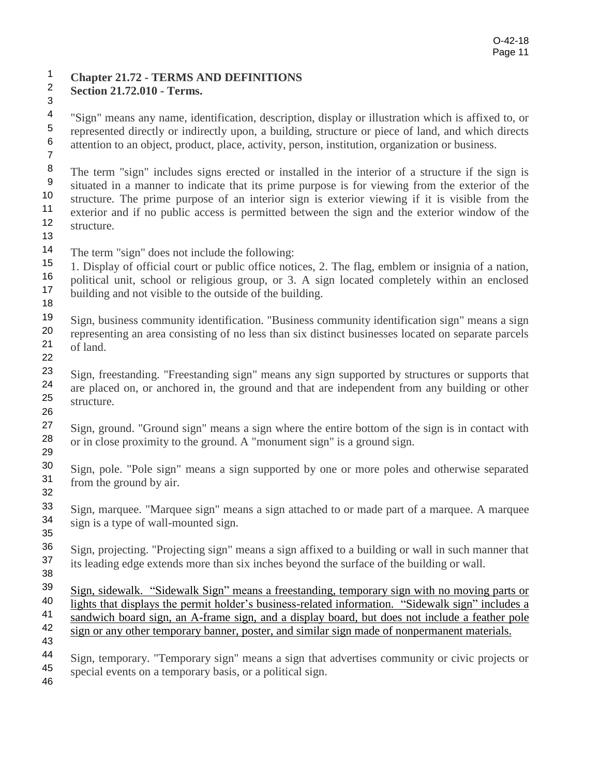# <sup>1</sup> Chapter 21.72 - TERMS AND DEFINITIONS<br><sup>2</sup> Soction 21.72.010 - Torms

**Section 21.72.010 - Terms.** <sup>2</sup>

<sup>4</sup> "Sign" means any name, identification, description, display or illustration which is affixed to, or  $\frac{5}{100}$  represented directly or indirectly upon a building structure or piece of land and which directs <sup>5</sup> represented directly or indirectly upon, a building, structure or piece of land, and which directs <sup>6</sup> attention to an object product place activity person institution organization or business attention to an object, product, place, activity, person, institution, organization or business. <sup>6</sup> 7

The term "sign" includes signs erected or installed in the interior of a structure if the sign is<br>9 situated in a manner to indicate that its prime purpose is for viewing from the exterior of the  $\frac{9}{10}$  situated in a manner to indicate that its prime purpose is for viewing from the exterior of the 9.9 structure. The prime purpose of an interior sign is exterior viewing if it is visible from the <sup>10</sup> structure. The prime purpose of an interior sign is exterior viewing if it is visible from the  $\frac{1}{2}$  exterior and if no public access is permitted between the sign and the exterior window of the exterior and if no public access is permitted between the sign and the exterior window of the  $12$  structure structure.

13

The term "sign" does not include the following:<br> $15 \t 1$  Display of official court or public office notice

<sup>15</sup> 1. Display of official court or public office notices, 2. The flag, emblem or insignia of a nation, 16 noticeal unit school or religious group or  $3/\Lambda$  sign located completely within an enclosed <sup>16</sup> political unit, school or religious group, or 3. A sign located completely within an enclosed  $\frac{17}{16}$  building and not visible to the outside of the building building and not visible to the outside of the building. <sup>17</sup> 18

Sign, business community identification. "Business community identification sign" means a sign<br>20 representing an area consisting of no less than six distinct businesses located on separate parcels representing an area consisting of no less than six distinct businesses located on separate parcels  $21$  of land of land. 22

Sign, freestanding. "Freestanding sign" means any sign supported by structures or supports that 24 are placed on or apphored in the ground and that are independent from any huilding or other are placed on, or anchored in, the ground and that are independent from any building or other  $25$  structure structure. 26

Sign, ground. "Ground sign" means a sign where the entire bottom of the sign is in contact with  $28$  or in close proximity to the ground. A "monument sign" is a ground sign or in close proximity to the ground. A "monument sign" is a ground sign. 29

Sign, pole. "Pole sign" means a sign supported by one or more poles and otherwise separated from the ground by air from the ground by air. 32

Sign, marquee. "Marquee sign" means a sign attached to or made part of a marquee. A marquee<br>34 sign is a type of wall-mounted sign sign is a type of wall-mounted sign. 35

Sign, projecting. "Projecting sign" means a sign affixed to a building or wall in such manner that<br>37 its leading edge extends more than six inches beyond the surface of the building or wall its leading edge extends more than six inches beyond the surface of the building or wall. 38

 $\frac{\text{Sign, sidewalk. "Sidewalk Sign" means a freestanding, temporary sign with no moving parts or 40}$  lights that displays the permit holder's business related information. "Sidewalk sign" includes a <sup>40</sup> lights that displays the permit holder's business-related information. "Sidewalk sign" includes a  $^{41}$  sandwich board sign an A-frame sign, and a display board but does not include a feather pole  $\frac{41}{1}$  sandwich board sign, an A-frame sign, and a display board, but does not include a feather pole  $\frac{42}{1}$  sign or any other temporary banner poster, and similar sign made of nonpermanent materials sign or any other temporary banner, poster, and similar sign made of nonpermanent materials. 43

<sup>44</sup> Sign, temporary. "Temporary sign" means a sign that advertises community or civic projects or 45 special events on a temporary basis, or a political sign special events on a temporary basis, or a political sign. 46